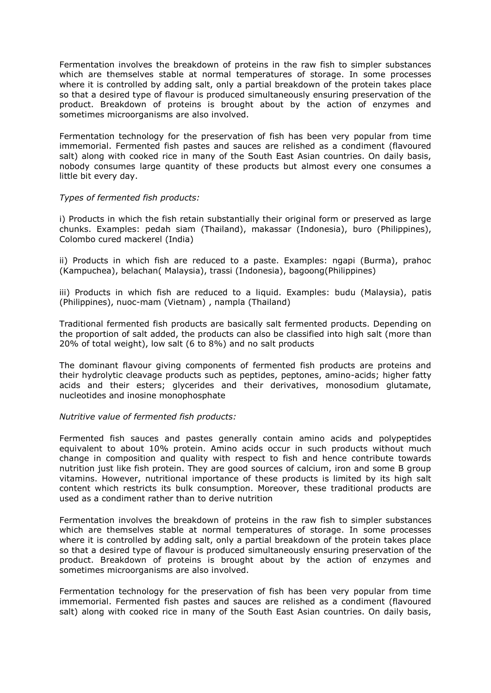Fermentation involves the breakdown of proteins in the raw fish to simpler substances which are themselves stable at normal temperatures of storage. In some processes where it is controlled by adding salt, only a partial breakdown of the protein takes place so that a desired type of flavour is produced simultaneously ensuring preservation of the product. Breakdown of proteins is brought about by the action of enzymes and sometimes microorganisms are also involved.

Fermentation technology for the preservation of fish has been very popular from time immemorial. Fermented fish pastes and sauces are relished as a condiment (flavoured salt) along with cooked rice in many of the South East Asian countries. On daily basis, nobody consumes large quantity of these products but almost every one consumes a little bit every day.

### *Types of fermented fish products:*

i) Products in which the fish retain substantially their original form or preserved as large chunks. Examples: pedah siam (Thailand), makassar (Indonesia), buro (Philippines), Colombo cured mackerel (India)

ii) Products in which fish are reduced to a paste. Examples: ngapi (Burma), prahoc (Kampuchea), belachan( Malaysia), trassi (Indonesia), bagoong(Philippines)

iii) Products in which fish are reduced to a liquid. Examples: budu (Malaysia), patis (Philippines), nuoc-mam (Vietnam) , nampla (Thailand)

Traditional fermented fish products are basically salt fermented products. Depending on the proportion of salt added, the products can also be classified into high salt (more than 20% of total weight), low salt (6 to 8%) and no salt products

The dominant flavour giving components of fermented fish products are proteins and their hydrolytic cleavage products such as peptides, peptones, amino-acids; higher fatty acids and their esters; glycerides and their derivatives, monosodium glutamate, nucleotides and inosine monophosphate

### *Nutritive value of fermented fish products:*

Fermented fish sauces and pastes generally contain amino acids and polypeptides equivalent to about 10% protein. Amino acids occur in such products without much change in composition and quality with respect to fish and hence contribute towards nutrition just like fish protein. They are good sources of calcium, iron and some B group vitamins. However, nutritional importance of these products is limited by its high salt content which restricts its bulk consumption. Moreover, these traditional products are used as a condiment rather than to derive nutrition

Fermentation involves the breakdown of proteins in the raw fish to simpler substances which are themselves stable at normal temperatures of storage. In some processes where it is controlled by adding salt, only a partial breakdown of the protein takes place so that a desired type of flavour is produced simultaneously ensuring preservation of the product. Breakdown of proteins is brought about by the action of enzymes and sometimes microorganisms are also involved.

Fermentation technology for the preservation of fish has been very popular from time immemorial. Fermented fish pastes and sauces are relished as a condiment (flavoured salt) along with cooked rice in many of the South East Asian countries. On daily basis,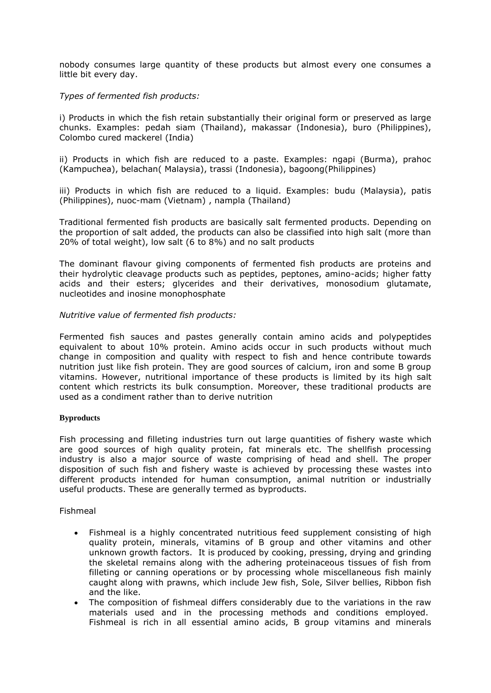nobody consumes large quantity of these products but almost every one consumes a little bit every day.

## *Types of fermented fish products:*

i) Products in which the fish retain substantially their original form or preserved as large chunks. Examples: pedah siam (Thailand), makassar (Indonesia), buro (Philippines), Colombo cured mackerel (India)

ii) Products in which fish are reduced to a paste. Examples: ngapi (Burma), prahoc (Kampuchea), belachan( Malaysia), trassi (Indonesia), bagoong(Philippines)

iii) Products in which fish are reduced to a liquid. Examples: budu (Malaysia), patis (Philippines), nuoc-mam (Vietnam) , nampla (Thailand)

Traditional fermented fish products are basically salt fermented products. Depending on the proportion of salt added, the products can also be classified into high salt (more than 20% of total weight), low salt (6 to 8%) and no salt products

The dominant flavour giving components of fermented fish products are proteins and their hydrolytic cleavage products such as peptides, peptones, amino-acids; higher fatty acids and their esters; glycerides and their derivatives, monosodium glutamate, nucleotides and inosine monophosphate

### *Nutritive value of fermented fish products:*

Fermented fish sauces and pastes generally contain amino acids and polypeptides equivalent to about 10% protein. Amino acids occur in such products without much change in composition and quality with respect to fish and hence contribute towards nutrition just like fish protein. They are good sources of calcium, iron and some B group vitamins. However, nutritional importance of these products is limited by its high salt content which restricts its bulk consumption. Moreover, these traditional products are used as a condiment rather than to derive nutrition

### **Byproducts**

Fish processing and filleting industries turn out large quantities of fishery waste which are good sources of high quality protein, fat minerals etc. The shellfish processing industry is also a major source of waste comprising of head and shell. The proper disposition of such fish and fishery waste is achieved by processing these wastes into different products intended for human consumption, animal nutrition or industrially useful products. These are generally termed as byproducts.

## Fishmeal

- Fishmeal is a highly concentrated nutritious feed supplement consisting of high quality protein, minerals, vitamins of B group and other vitamins and other unknown growth factors. It is produced by cooking, pressing, drying and grinding the skeletal remains along with the adhering proteinaceous tissues of fish from filleting or canning operations or by processing whole miscellaneous fish mainly caught along with prawns, which include Jew fish, Sole, Silver bellies, Ribbon fish and the like.
- The composition of fishmeal differs considerably due to the variations in the raw materials used and in the processing methods and conditions employed. Fishmeal is rich in all essential amino acids, B group vitamins and minerals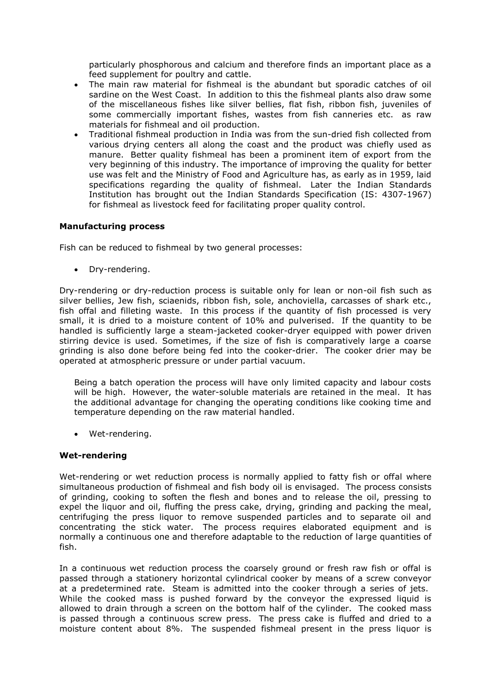particularly phosphorous and calcium and therefore finds an important place as a feed supplement for poultry and cattle.

- The main raw material for fishmeal is the abundant but sporadic catches of oil sardine on the West Coast. In addition to this the fishmeal plants also draw some of the miscellaneous fishes like silver bellies, flat fish, ribbon fish, juveniles of some commercially important fishes, wastes from fish canneries etc. as raw materials for fishmeal and oil production.
- Traditional fishmeal production in India was from the sun-dried fish collected from various drying centers all along the coast and the product was chiefly used as manure. Better quality fishmeal has been a prominent item of export from the very beginning of this industry. The importance of improving the quality for better use was felt and the Ministry of Food and Agriculture has, as early as in 1959, laid specifications regarding the quality of fishmeal. Later the Indian Standards Institution has brought out the Indian Standards Specification (IS: 4307-1967) for fishmeal as livestock feed for facilitating proper quality control.

### **Manufacturing process**

Fish can be reduced to fishmeal by two general processes:

• Dry-rendering.

Dry-rendering or dry-reduction process is suitable only for lean or non-oil fish such as silver bellies, Jew fish, sciaenids, ribbon fish, sole, anchoviella, carcasses of shark etc., fish offal and filleting waste. In this process if the quantity of fish processed is very small, it is dried to a moisture content of 10% and pulverised. If the quantity to be handled is sufficiently large a steam-jacketed cooker-dryer equipped with power driven stirring device is used. Sometimes, if the size of fish is comparatively large a coarse grinding is also done before being fed into the cooker-drier. The cooker drier may be operated at atmospheric pressure or under partial vacuum.

Being a batch operation the process will have only limited capacity and labour costs will be high. However, the water-soluble materials are retained in the meal. It has the additional advantage for changing the operating conditions like cooking time and temperature depending on the raw material handled.

• Wet-rendering.

#### **Wet-rendering**

Wet-rendering or wet reduction process is normally applied to fatty fish or offal where simultaneous production of fishmeal and fish body oil is envisaged. The process consists of grinding, cooking to soften the flesh and bones and to release the oil, pressing to expel the liquor and oil, fluffing the press cake, drying, grinding and packing the meal, centrifuging the press liquor to remove suspended particles and to separate oil and concentrating the stick water. The process requires elaborated equipment and is normally a continuous one and therefore adaptable to the reduction of large quantities of fish.

In a continuous wet reduction process the coarsely ground or fresh raw fish or offal is passed through a stationery horizontal cylindrical cooker by means of a screw conveyor at a predetermined rate. Steam is admitted into the cooker through a series of jets. While the cooked mass is pushed forward by the conveyor the expressed liquid is allowed to drain through a screen on the bottom half of the cylinder. The cooked mass is passed through a continuous screw press. The press cake is fluffed and dried to a moisture content about 8%. The suspended fishmeal present in the press liquor is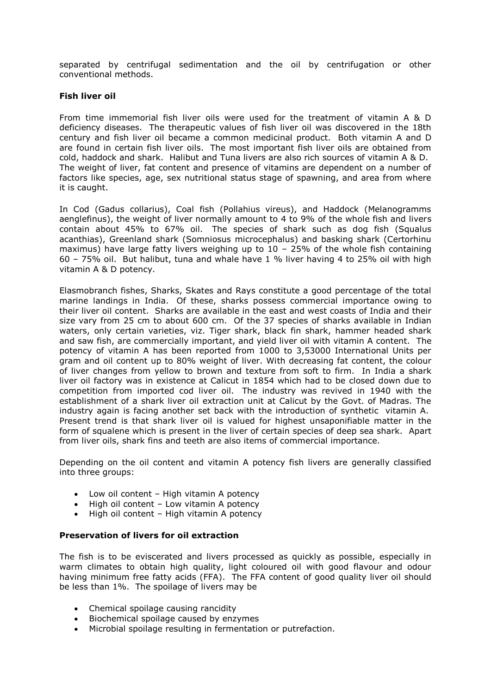separated by centrifugal sedimentation and the oil by centrifugation or other conventional methods.

### **Fish liver oil**

From time immemorial fish liver oils were used for the treatment of vitamin A & D deficiency diseases. The therapeutic values of fish liver oil was discovered in the 18th century and fish liver oil became a common medicinal product. Both vitamin A and D are found in certain fish liver oils. The most important fish liver oils are obtained from cold, haddock and shark. Halibut and Tuna livers are also rich sources of vitamin A & D. The weight of liver, fat content and presence of vitamins are dependent on a number of factors like species, age, sex nutritional status stage of spawning, and area from where it is caught.

In Cod (Gadus collarius), Coal fish (Pollahius vireus), and Haddock (Melanogramms aenglefinus), the weight of liver normally amount to 4 to 9% of the whole fish and livers contain about 45% to 67% oil. The species of shark such as dog fish (Squalus acanthias), Greenland shark (Somniosus microcephalus) and basking shark (Certorhinu maximus) have large fatty livers weighing up to  $10 - 25%$  of the whole fish containing 60 – 75% oil. But halibut, tuna and whale have 1 % liver having 4 to 25% oil with high vitamin A & D potency.

Elasmobranch fishes, Sharks, Skates and Rays constitute a good percentage of the total marine landings in India. Of these, sharks possess commercial importance owing to their liver oil content. Sharks are available in the east and west coasts of India and their size vary from 25 cm to about 600 cm. Of the 37 species of sharks available in Indian waters, only certain varieties, viz. Tiger shark, black fin shark, hammer headed shark and saw fish, are commercially important, and yield liver oil with vitamin A content. The potency of vitamin A has been reported from 1000 to 3,53000 International Units per gram and oil content up to 80% weight of liver. With decreasing fat content, the colour of liver changes from yellow to brown and texture from soft to firm. In India a shark liver oil factory was in existence at Calicut in 1854 which had to be closed down due to competition from imported cod liver oil. The industry was revived in 1940 with the establishment of a shark liver oil extraction unit at Calicut by the Govt. of Madras. The industry again is facing another set back with the introduction of synthetic vitamin A. Present trend is that shark liver oil is valued for highest unsaponifiable matter in the form of squalene which is present in the liver of certain species of deep sea shark. Apart from liver oils, shark fins and teeth are also items of commercial importance.

Depending on the oil content and vitamin A potency fish livers are generally classified into three groups:

- Low oil content  $-$  High vitamin A potency
- High oil content Low vitamin A potency
- High oil content  $-$  High vitamin A potency

## **Preservation of livers for oil extraction**

The fish is to be eviscerated and livers processed as quickly as possible, especially in warm climates to obtain high quality, light coloured oil with good flavour and odour having minimum free fatty acids (FFA). The FFA content of good quality liver oil should be less than 1%. The spoilage of livers may be

- Chemical spoilage causing rancidity
- Biochemical spoilage caused by enzymes
- Microbial spoilage resulting in fermentation or putrefaction.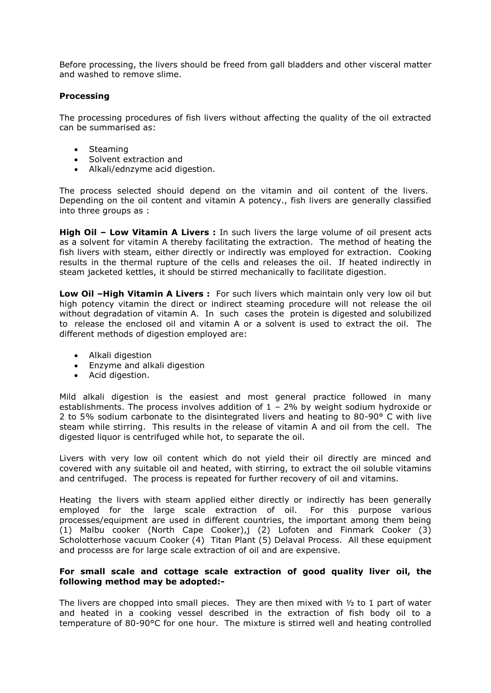Before processing, the livers should be freed from gall bladders and other visceral matter and washed to remove slime.

## **Processing**

The processing procedures of fish livers without affecting the quality of the oil extracted can be summarised as:

- Steaming
- Solvent extraction and
- Alkali/ednzyme acid digestion.

The process selected should depend on the vitamin and oil content of the livers. Depending on the oil content and vitamin A potency., fish livers are generally classified into three groups as :

**High Oil – Low Vitamin A Livers :** In such livers the large volume of oil present acts as a solvent for vitamin A thereby facilitating the extraction. The method of heating the fish livers with steam, either directly or indirectly was employed for extraction. Cooking results in the thermal rupture of the cells and releases the oil. If heated indirectly in steam jacketed kettles, it should be stirred mechanically to facilitate digestion.

**Low Oil –High Vitamin A Livers :** For such livers which maintain only very low oil but high potency vitamin the direct or indirect steaming procedure will not release the oil without degradation of vitamin A. In such cases the protein is digested and solubilized to release the enclosed oil and vitamin A or a solvent is used to extract the oil. The different methods of digestion employed are:

- Alkali digestion
- Enzyme and alkali digestion
- Acid digestion.

Mild alkali digestion is the easiest and most general practice followed in many establishments. The process involves addition of  $1 - 2\%$  by weight sodium hydroxide or 2 to 5% sodium carbonate to the disintegrated livers and heating to 80-90° C with live steam while stirring. This results in the release of vitamin A and oil from the cell. The digested liquor is centrifuged while hot, to separate the oil.

Livers with very low oil content which do not yield their oil directly are minced and covered with any suitable oil and heated, with stirring, to extract the oil soluble vitamins and centrifuged. The process is repeated for further recovery of oil and vitamins.

Heating the livers with steam applied either directly or indirectly has been generally employed for the large scale extraction of oil. For this purpose various processes/equipment are used in different countries, the important among them being (1) Malbu cooker (North Cape Cooker),j (2) Lofoten and Finmark Cooker (3) Scholotterhose vacuum Cooker (4) Titan Plant (5) Delaval Process. All these equipment and processs are for large scale extraction of oil and are expensive.

# **For small scale and cottage scale extraction of good quality liver oil, the following method may be adopted:-**

The livers are chopped into small pieces. They are then mixed with  $\frac{1}{2}$  to 1 part of water and heated in a cooking vessel described in the extraction of fish body oil to a temperature of 80-90°C for one hour. The mixture is stirred well and heating controlled